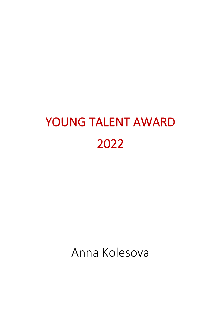## YOUNG TALENT AWARD 2022

Anna Kolesova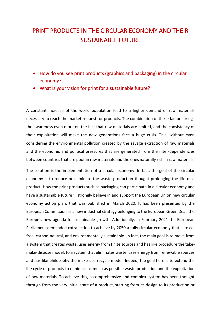## PRINT PRODUCTS IN THE CIRCULAR ECONOMY AND THEIR SUSTAINABLE FUTURE

- How do you see print products (graphics and packaging) in the circular economy?
- What is your vision for print for a sustainable future?

A constant increase of the world population lead to a higher demand of raw materials necessary to reach the market request for products. The combination of these factors brings the awareness even more on the fact that raw materials are limited, and the consistency of their exploitation will make the new generations face a huge crisis. This, without even considering the environmental pollution created by the savage extraction of raw materials and the economic and political pressures that are generated from the inter-dependencies between countries that are poor in raw materials and the ones naturally rich in raw materials.

The solution is the implementation of a circular economy. In fact, the goal of the circular economy is to reduce or eliminate the waste production thought prolonging the life of a product. How the print products such as packaging can participate in a circular economy and have a sustainable future? I strongly believe in and support the European Union new circular economy action plan, that was published in March 2020. It has been presented by the European Commission as a new industrial strategy belonging to the European Green Deal, the Europe's new agenda for sustainable growth. Additionally, in February 2021 the European Parliament demanded extra action to achieve by 2050 a fully circular economy that is toxicfree, carbon-neutral, and environmentally sustainable. In fact, the main goal is to move from a system that creates waste, uses energy from finite sources and has like procedure the takemake-dispose model, to a system that eliminates waste, uses energy from renewable sources and has like philosophy the make-use-recycle model. Indeed, the goal here is to extend the life cycle of products to minimize as much as possible waste production and the exploitation of raw materials. To achieve this, a comprehensive and complex system has been thought through from the very initial state of a product, starting from its design to its production or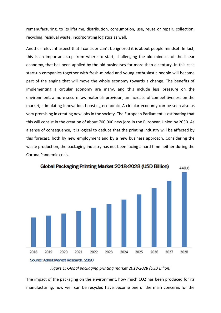remanufacturing, to its lifetime, distribution, consumption, use, reuse or repair, collection, recycling, residual waste, incorporating logistics as well.

Another relevant aspect that I consider can´t be ignored it is about people mindset. In fact, this is an important step from where to start, challenging the old mindset of the linear economy, that has been applied by the old businesses for more than a century. In this case start-up companies together with fresh-minded and young enthusiastic people will become part of the engine that will move the whole economy towards a change. The benefits of implementing a circular economy are many, and this include less pressure on the environment, a more secure raw materials provision, an increase of competitiveness on the market, stimulating innovation, boosting economic. A circular economy can be seen also as very promising in creating new jobs in the society. The European Parliament is estimating that this will consist in the creation of about 700,000 new jobs in the European Union by 2030. As a sense of consequence, it is logical to deduce that the printing industry will be affected by this forecast, both by new employment and by a new business approach. Considering the waste production, the packaging industry has not been facing a hard time neither during the Corona Pandemic crisis.



Global Packaging Printing Market 2018-2028 (USD Billion)

The impact of the packaging on the environment, how much CO2 has been produced for its manufacturing, how well can be recycled have become one of the main concerns for the

*Figure 1: Global packaging printing market 2018-2028 (USD Bilion)*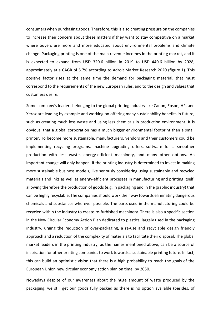consumers when purchasing goods. Therefore, this is also creating pressure on the companies to increase their concern about these matters if they want to stay competitive on a market where buyers are more and more educated about environmental problems and climate change. Packaging printing is one of the main revenue incomes in the printing market, and it is expected to expand from USD 320.6 billion in 2019 to USD 440.6 billion by 2028, approximately at a CAGR of 5.7% according to Adroit Market Research 2020 (figure 1). This positive factor rises at the same time the demand for packaging material, that must correspond to the requirements of the new European rules, and to the design and values that customers desire.

Some company's leaders belonging to the global printing industry like Canon, Epson, HP, and Xerox are leading by example and working on offering many sustainability benefits in future, such as creating much less waste and using less chemicals in production environment. It is obvious, that a global corporation has a much bigger environmental footprint than a small printer. To become more sustainable, manufacturers, vendors and their customers could be implementing recycling programs, machine upgrading offers, software for a smoother production with less waste, energy-efficient machinery, and many other options. An important change will only happen, if the printing industry is determined to invest in making more sustainable business models, like seriously considering using sustainable and recycled materials and inks as well as energy-efficient processes in manufacturing and printing itself, allowing therefore the production of goods (e.g. in packaging and in the graphic industry) that can be highly recyclable. The companies should work their way towards eliminating dangerous chemicals and substances wherever possible. The parts used in the manufacturing could be recycled within the industry to create re-furbished machinery. There is also a specific section in the New Circular Economy Action Plan dedicated to plastics, largely used in the packaging industry, urging the reduction of over-packaging, a re-use and recyclable design friendly approach and a reduction of the complexity of materials to facilitate their disposal. The global market leaders in the printing industry, as the names mentioned above, can be a source of inspiration for other printing companies to work towards a sustainable printing future. In fact, this can build an optimistic vision that there is a high probability to reach the goals of the European Union new circular economy action plan on time, by 2050.

Nowadays despite of our awareness about the huge amount of waste produced by the packaging, we still get our goods fully packed as there is no option available (besides, of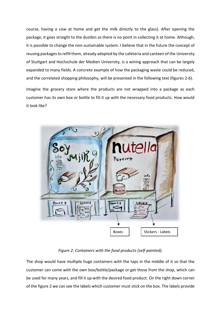course, having a cow at home and get the milk directly to the glass). After opening the package, it goes straight to the dustbin as there is no point in collecting it at home. Although, it is possible to change the non-sustainable system. I believe that in the future the concept of reusing packagesto refill them, already adopted by the cafeteria and canteen of the University of Stuttgart and Hochschule der Medien University, is a wining approach that can be largely expanded to many fields. A concrete example of how the packaging waste could be reduced, and the correlated shopping philosophy, will be presented in the following text (figures 2-6).

Imagine the grocery store where the products are not wrapped into a package as each customer has its own box or bottle to fill it up with the necessary food products. How would it look like?



## *Figure 2: Containers with the food products (self-painted).*

The shop would have multiple huge containers with the taps in the middle of it so that the customer can come with the own box/bottle/package or get those from the shop, which can be used for many years, and fill it up with the desired food product. On the right down corner of the figure 2 we can see the labels which customer must stick on the box. The labels provide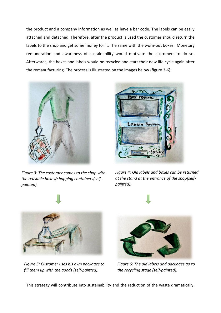the product and a company information as well as have a bar code. The labels can be easily attached and detached. Therefore, after the product is used the customer should return the labels to the shop and get some money for it. The same with the worn-out boxes. Monetary remuneration and awareness of sustainability would motivate the customers to do so. Afterwards, the boxes and labels would be recycled and start their new life cycle again after the remanufacturing. The process is illustrated on the images below (figure 3-6):



*Figure 3: The customer comes to the shop with the reusable boxes/shopping containers(selfpainted).* 



*Figure 4: Old labels and boxes can be returned at the stand at the entrance of the shop(selfpainted).*



*Figure 5: Customer uses his own packages to fill them up with the goods (self-painted).*



*Figure 6: The old labels and packages go to the recycling stage (self-painted).*

This strategy will contribute into sustainability and the reduction of the waste dramatically.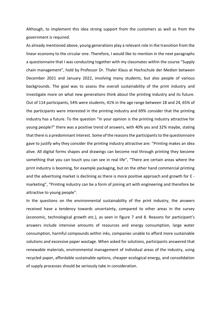Although, to implement this idea strong support from the customers as well as from the government is required.

As already mentioned above, young generations play a relevant role in the transition from the linear economy to the circular one. Therefore, I would like to mention in the next paragraphs a questionnaire that I was conducting together with my classmates within the course "Supply chain management", hold by Professor Dr. Thaler Klaus at Hochschule der Medien between December 2021 and January 2022, involving many students, but also people of various backgrounds. The goal was to assess the overall sustainability of the print industry and investigate more on what new generations think about the printing industry and its future. Out of 114 participants, 54% were students, 41% in the age range between 18 and 24, 65% of the participants were interested in the printing industry and 69% consider that the printing industry has a future. To the question "In your opinion is the printing industry attractive for young people?" there was a positive trend of answers, with 40% yes and 32% maybe, stating that there is a predominant interest. Some of the reasons the participants to the questionnaire gave to justify why they consider the printing industry attractive are: "Printing makes an idea alive. All digital forms shapes and drawings can become real through printing they become something that you can touch you can see in real life", "There are certain areas where the print industry is booming, for example packaging, but on the other hand commercial printing and the advertising market is declining as there is more positive approach and growth for E marketing", "Printing industry can be a form of joining art with engineering and therefore be attractive to young people".

In the questions on the environmental sustainability of the print industry, the answers received have a tendency towards uncertainty, compared to other areas in the survey (economic, technological growth etc.), as seen in figure 7 and 8. Reasons for participant's answers include intensive amounts of resources and energy consumption, large water consumption, harmful compounds within inks, companies unable to afford more sustainable solutions and excessive paper wastage. When asked for solutions, participants answered that renewable materials, environmental management of individual areas of the industry, using recycled paper, affordable sustainable options, cheaper ecological energy, and consolidation of supply processes should be seriously take in consideration.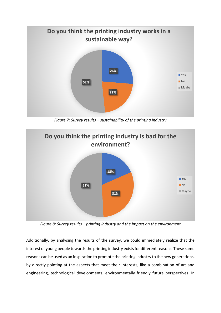

*Figure 7: Survey results – sustainability of the printing industry*



*Figure 8: Survey results – printing industry and the impact on the environment*

Additionally, by analysing the results of the survey, we could immediately realize that the interest of young people towards the printing industry exists for different reasons. These same reasons can be used as an inspiration to promote the printing industry to the new generations, by directly pointing at the aspects that meet their interests, like a combination of art and engineering, technological developments, environmentally friendly future perspectives. In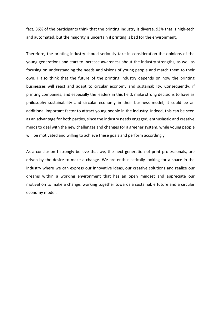fact, 86% of the participants think that the printing industry is diverse, 93% that is high-tech and automated, but the majority is uncertain if printing is bad for the environment.

Therefore, the printing industry should seriously take in consideration the opinions of the young generations and start to increase awareness about the industry strengths, as well as focusing on understanding the needs and visions of young people and match them to their own. I also think that the future of the printing industry depends on how the printing businesses will react and adapt to circular economy and sustainability. Consequently, if printing companies, and especially the leaders in this field, make strong decisions to have as philosophy sustainability and circular economy in their business model, it could be an additional important factor to attract young people in the industry. Indeed, this can be seen as an advantage for both parties, since the industry needs engaged, enthusiastic and creative minds to deal with the new challenges and changes for a greener system, while young people will be motivated and willing to achieve these goals and perform accordingly.

As a conclusion I strongly believe that we, the next generation of print professionals, are driven by the desire to make a change. We are enthusiastically looking for a space in the industry where we can express our innovative ideas, our creative solutions and realize our dreams within a working environment that has an open mindset and appreciate our motivation to make a change, working together towards a sustainable future and a circular economy model.